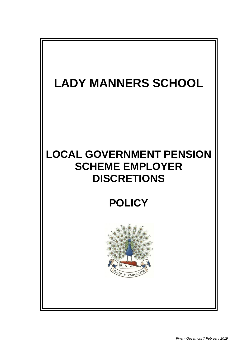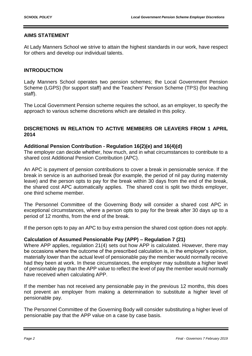# **AIMS STATEMENT**

At Lady Manners School we strive to attain the highest standards in our work, have respect for others and develop our individual talents.

## **INTRODUCTION**

Lady Manners School operates two pension schemes; the Local Government Pension Scheme (LGPS) (for support staff) and the Teachers' Pension Scheme (TPS) (for teaching staff).

The Local Government Pension scheme requires the school, as an employer, to specify the approach to various scheme discretions which are detailed in this policy.

# **DISCRETIONS IN RELATION TO ACTIVE MEMBERS OR LEAVERS FROM 1 APRIL 2014**

### **Additional Pension Contribution - Regulation 16(2)(e) and 16(4)(d)**

The employer can decide whether, how much, and in what circumstances to contribute to a shared cost Additional Pension Contribution (APC).

An APC is payment of pension contributions to cover a break in pensionable service. If the break in service is an authorised break (for example, the period of nil pay during maternity leave) and the person opts to pay for the break within 30 days from the end of the break, the shared cost APC automatically applies. The shared cost is split two thirds employer, one third scheme member.

The Personnel Committee of the Governing Body will consider a shared cost APC in exceptional circumstances, where a person opts to pay for the break after 30 days up to a period of 12 months, from the end of the break.

If the person opts to pay an APC to buy extra pension the shared cost option does not apply.

### **Calculation of Assumed Pensionable Pay (APP) – Regulation 7 (21)**

Where APP applies, regulation 21(4) sets out how APP is calculated. However, there may be occasions where the outcome of the prescribed calculation is, in the employer's opinion, materially lower than the actual level of pensionable pay the member would normally receive had they been at work. In these circumstances, the employer may substitute a higher level of pensionable pay than the APP value to reflect the level of pay the member would normally have received when calculating APP.

If the member has not received any pensionable pay in the previous 12 months, this does not prevent an employer from making a determination to substitute a higher level of pensionable pay.

The Personnel Committee of the Governing Body will consider substituting a higher level of pensionable pay that the APP value on a case by case basis.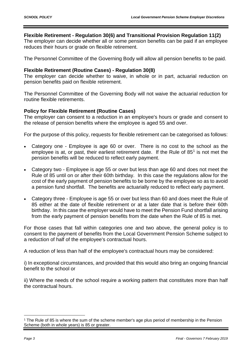# **Flexible Retirement - Regulation 30(6) and Transitional Provision Regulation 11(2)**

The employer can decide whether all or some pension benefits can be paid if an employee reduces their hours or grade on flexible retirement.

The Personnel Committee of the Governing Body will allow all pension benefits to be paid.

## **Flexible Retirement (Routine Cases) - Regulation 30(8)**

The employer can decide whether to waive, in whole or in part, actuarial reduction on pension benefits paid on flexible retirement.

The Personnel Committee of the Governing Body will not waive the actuarial reduction for routine flexible retirements.

# **Policy for Flexible Retirement (Routine Cases)**

The employer can consent to a reduction in an employee's hours or grade and consent to the release of pension benefits where the employee is aged 55 and over.

For the purpose of this policy, requests for flexible retirement can be categorised as follows:

- Category one Employee is age 60 or over. There is no cost to the school as the employee is at, or past, their earliest retirement date. If the Rule of  $85<sup>1</sup>$  is not met the pension benefits will be reduced to reflect early payment.
- Category two Employee is age 55 or over but less than age 60 and does not meet the Rule of 85 until on or after their 60th birthday. In this case the regulations allow for the cost of the early payment of pension benefits to be borne by the employee so as to avoid a pension fund shortfall. The benefits are actuarially reduced to reflect early payment.
- Category three Employee is age 55 or over but less than 60 and does meet the Rule of 85 either at the date of flexible retirement or at a later date that is before their 60th birthday. In this case the employer would have to meet the Pension Fund shortfall arising from the early payment of pension benefits from the date when the Rule of 85 is met.

For those cases that fall within categories one and two above, the general policy is to consent to the payment of benefits from the Local Government Pension Scheme subject to a reduction of half of the employee's contractual hours.

A reduction of less than half of the employee's contractual hours may be considered:

i) In exceptional circumstances, and provided that this would also bring an ongoing financial benefit to the school or

ii) Where the needs of the school require a working pattern that constitutes more than half the contractual hours.

<u>.</u>

<sup>1</sup> The Rule of 85 is where the sum of the scheme member's age plus period of membership in the Pension Scheme (both in whole years) is 85 or greater.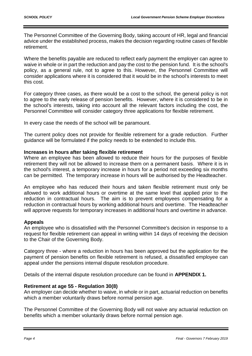The Personnel Committee of the Governing Body, taking account of HR, legal and financial advice under the established process, makes the decision regarding routine cases of flexible retirement.

Where the benefits payable are reduced to reflect early payment the employer can agree to waive in whole or in part the reduction and pay the cost to the pension fund. It is the school's policy, as a general rule, not to agree to this. However, the Personnel Committee will consider applications where it is considered that it would be in the school's interests to meet this cost.

For category three cases, as there would be a cost to the school, the general policy is not to agree to the early release of pension benefits. However, where it is considered to be in the school's interests, taking into account all the relevant factors including the cost, the Personnel Committee will consider category three applications for flexible retirement.

In every case the needs of the school will be paramount.

The current policy does not provide for flexible retirement for a grade reduction. Further guidance will be formulated if the policy needs to be extended to include this.

# **Increases in hours after taking flexible retirement**

Where an employee has been allowed to reduce their hours for the purposes of flexible retirement they will not be allowed to increase them on a permanent basis. Where it is in the school's interest, a temporary increase in hours for a period not exceeding six months can be permitted. The temporary increase in hours will be authorised by the Headteacher.

An employee who has reduced their hours and taken flexible retirement must only be allowed to work additional hours or overtime at the same level that applied prior to the reduction in contractual hours. The aim is to prevent employees compensating for a reduction in contractual hours by working additional hours and overtime. The Headteacher will approve requests for temporary increases in additional hours and overtime in advance.

# **Appeals**

An employee who is dissatisfied with the Personnel Committee's decision in response to a request for flexible retirement can appeal in writing within 14 days of receiving the decision to the Chair of the Governing Body.

Category three - where a reduction in hours has been approved but the application for the payment of pension benefits on flexible retirement is refused, a dissatisfied employee can appeal under the pensions internal dispute resolution procedure.

Details of the internal dispute resolution procedure can be found in **APPENDIX 1.**

# **Retirement at age 55 - Regulation 30(8)**

An employer can decide whether to waive, in whole or in part, actuarial reduction on benefits which a member voluntarily draws before normal pension age.

The Personnel Committee of the Governing Body will not waive any actuarial reduction on benefits which a member voluntarily draws before normal pension age.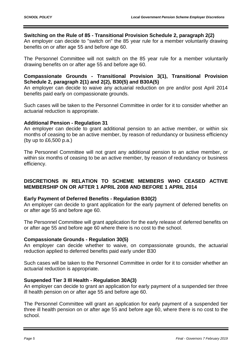## **Switching on the Rule of 85 - Transitional Provision Schedule 2, paragraph 2(2)**

An employer can decide to "switch on" the 85 year rule for a member voluntarily drawing benefits on or after age 55 and before age 60.

The Personnel Committee will not switch on the 85 year rule for a member voluntarily drawing benefits on or after age 55 and before age 60.

## **Compassionate Grounds - Transitional Provision 3(1), Transitional Provision Schedule 2, paragraph 2(1) and 2(2), B30(5) and B30A(5)**

An employer can decide to waive any actuarial reduction on pre and/or post April 2014 benefits paid early on compassionate grounds.

Such cases will be taken to the Personnel Committee in order for it to consider whether an actuarial reduction is appropriate.

## **Additional Pension - Regulation 31**

An employer can decide to grant additional pension to an active member, or within six months of ceasing to be an active member, by reason of redundancy or business efficiency (by up to £6,500 p.a.)

The Personnel Committee will not grant any additional pension to an active member, or within six months of ceasing to be an active member, by reason of redundancy or business efficiency.

# **DISCRETIONS IN RELATION TO SCHEME MEMBERS WHO CEASED ACTIVE MEMBERSHIP ON OR AFTER 1 APRIL 2008 AND BEFORE 1 APRIL 2014**

### **Early Payment of Deferred Benefits - Regulation B30(2)**

An employer can decide to grant application for the early payment of deferred benefits on or after age 55 and before age 60.

The Personnel Committee will grant application for the early release of deferred benefits on or after age 55 and before age 60 where there is no cost to the school.

### **Compassionate Grounds - Regulation 30(5)**

An employer can decide whether to waive, on compassionate grounds, the actuarial reduction applied to deferred benefits paid early under B30

Such cases will be taken to the Personnel Committee in order for it to consider whether an actuarial reduction is appropriate.

### **Suspended Tier 3 Ill Health - Regulation 30A(3)**

An employer can decide to grant an application for early payment of a suspended tier three ill health pension on or after age 55 and before age 60.

The Personnel Committee will grant an application for early payment of a suspended tier three ill health pension on or after age 55 and before age 60, where there is no cost to the school.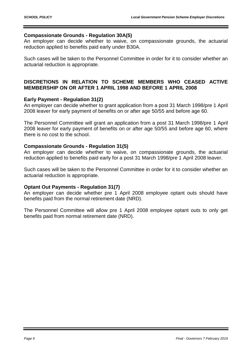## **Compassionate Grounds - Regulation 30A(5)**

An employer can decide whether to waive, on compassionate grounds, the actuarial reduction applied to benefits paid early under B30A.

Such cases will be taken to the Personnel Committee in order for it to consider whether an actuarial reduction is appropriate.

# **DISCRETIONS IN RELATION TO SCHEME MEMBERS WHO CEASED ACTIVE MEMBERSHIP ON OR AFTER 1 APRIL 1998 AND BEFORE 1 APRIL 2008**

## **Early Payment - Regulation 31(2)**

An employer can decide whether to grant application from a post 31 March 1998/pre 1 April 2008 leaver for early payment of benefits on or after age 50/55 and before age 60.

The Personnel Committee will grant an application from a post 31 March 1998/pre 1 April 2008 leaver for early payment of benefits on or after age 50/55 and before age 60, where there is no cost to the school.

### **Compassionate Grounds - Regulation 31(5)**

An employer can decide whether to waive, on compassionate grounds, the actuarial reduction applied to benefits paid early for a post 31 March 1998/pre 1 April 2008 leaver.

Such cases will be taken to the Personnel Committee in order for it to consider whether an actuarial reduction is appropriate.

### **Optant Out Payments - Regulation 31(7)**

An employer can decide whether pre 1 April 2008 employee optant outs should have benefits paid from the normal retirement date (NRD).

The Personnel Committee will allow pre 1 April 2008 employee optant outs to only get benefits paid from normal retirement date (NRD).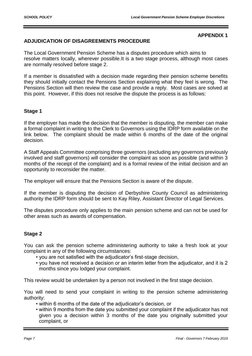## **APPENDIX 1**

# **ADJUDICATION OF DISAGREEMENTS PROCEDURE**

The Local Government Pension Scheme has a disputes procedure which aims to resolve matters locally, wherever possible.It is a two stage process, although most cases are normally resolved before stage 2.

If a member is dissatisfied with a decision made regarding their pension scheme benefits they should initially contact the Pensions Section explaining what they feel is wrong. The Pensions Section will then review the case and provide a reply. Most cases are solved at this point. However, if this does not resolve the dispute the process is as follows:

# **Stage 1**

If the employer has made the decision that the member is disputing, the member can make a formal complaint in writing to the Clerk to Governors using the IDRP form available on the link below. The complaint should be made within 6 months of the date of the original decision.

A Staff Appeals Committee comprising three governors (excluding any governors previously involved and staff governors) will consider the complaint as soon as possible (and within 3 months of the receipt of the complaint) and is a formal review of the initial decision and an opportunity to reconsider the matter.

The employer will ensure that the Pensions Section is aware of the dispute.

If the member is disputing the decision of Derbyshire County Council as administering authority the IDRP form should be sent to Kay Riley, Assistant Director of Legal Services.

The disputes procedure only applies to the main pension scheme and can not be used for other areas such as awards of compensation.

# **Stage 2**

You can ask the pension scheme administering authority to take a fresh look at your complaint in any of the following circumstances:

- you are not satisfied with the adjudicator's first-stage decision,
- you have not received a decision or an interim letter from the adjudicator, and it is 2 months since you lodged your complaint.

This review would be undertaken by a person not involved in the first stage decision.

You will need to send your complaint in writing to the pension scheme administering authority:

- within 6 months of the date of the adjudicator's decision, or
- within 9 months from the date you submitted your complaint if the adjudicator has not given you a decision within 3 months of the date you originally submitted your complaint, or